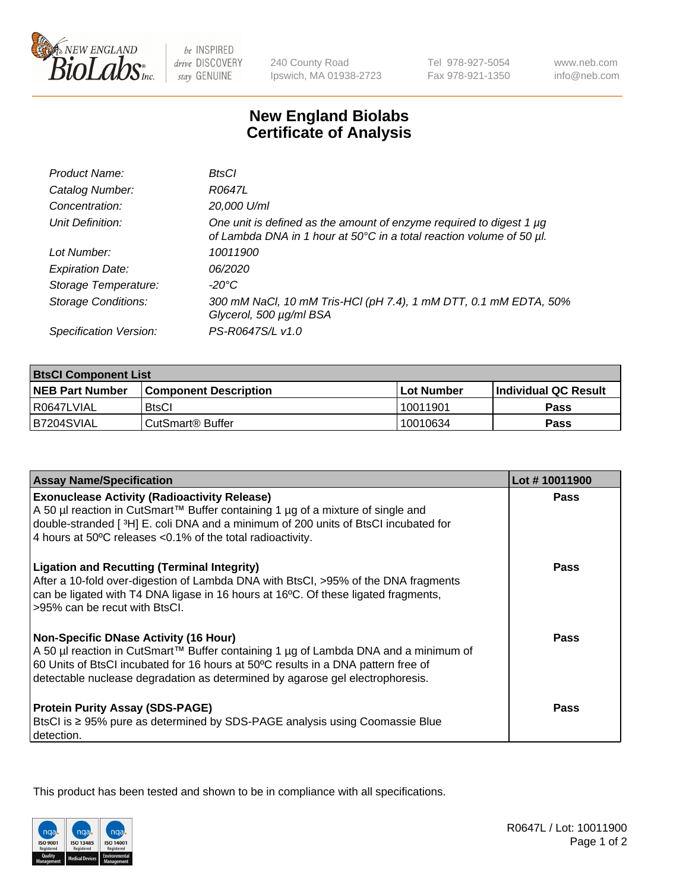

be INSPIRED drive DISCOVERY stay GENUINE

240 County Road Ipswich, MA 01938-2723 Tel 978-927-5054 Fax 978-921-1350

www.neb.com info@neb.com

## **New England Biolabs Certificate of Analysis**

| Product Name:              | BtsCl                                                                                                                                            |
|----------------------------|--------------------------------------------------------------------------------------------------------------------------------------------------|
| Catalog Number:            | R0647L                                                                                                                                           |
| Concentration:             | 20,000 U/ml                                                                                                                                      |
| Unit Definition:           | One unit is defined as the amount of enzyme required to digest 1 $\mu$ g<br>of Lambda DNA in 1 hour at 50°C in a total reaction volume of 50 µl. |
| Lot Number:                | 10011900                                                                                                                                         |
| <b>Expiration Date:</b>    | 06/2020                                                                                                                                          |
| Storage Temperature:       | -20°C                                                                                                                                            |
| <b>Storage Conditions:</b> | 300 mM NaCl, 10 mM Tris-HCl (pH 7.4), 1 mM DTT, 0.1 mM EDTA, 50%<br>Glycerol, 500 µg/ml BSA                                                      |
| Specification Version:     | PS-R0647S/L v1.0                                                                                                                                 |

| <b>BtsCl Component List</b> |                              |                   |                             |  |
|-----------------------------|------------------------------|-------------------|-----------------------------|--|
| <b>NEB Part Number</b>      | <b>Component Description</b> | <b>Lot Number</b> | <b>Individual QC Result</b> |  |
| I R0647LVIAL                | <b>BtsCl</b>                 | 10011901          | <b>Pass</b>                 |  |
| B7204SVIAL                  | l CutSmart® Buffer           | 10010634          | Pass                        |  |

| <b>Assay Name/Specification</b>                                                                                                                                                                                                                                                                           | Lot #10011900 |
|-----------------------------------------------------------------------------------------------------------------------------------------------------------------------------------------------------------------------------------------------------------------------------------------------------------|---------------|
| <b>Exonuclease Activity (Radioactivity Release)</b><br>A 50 µl reaction in CutSmart™ Buffer containing 1 µg of a mixture of single and                                                                                                                                                                    | Pass          |
| double-stranded [3H] E. coli DNA and a minimum of 200 units of BtsCl incubated for<br>4 hours at 50°C releases <0.1% of the total radioactivity.                                                                                                                                                          |               |
| <b>Ligation and Recutting (Terminal Integrity)</b><br>After a 10-fold over-digestion of Lambda DNA with BtsCl, >95% of the DNA fragments<br>can be ligated with T4 DNA ligase in 16 hours at 16°C. Of these ligated fragments,<br>>95% can be recut with BtsCl.                                           | <b>Pass</b>   |
| <b>Non-Specific DNase Activity (16 Hour)</b><br>A 50 µl reaction in CutSmart™ Buffer containing 1 µg of Lambda DNA and a minimum of<br>60 Units of BtsCl incubated for 16 hours at 50°C results in a DNA pattern free of<br>detectable nuclease degradation as determined by agarose gel electrophoresis. | Pass          |
| <b>Protein Purity Assay (SDS-PAGE)</b><br>BtsCl is ≥ 95% pure as determined by SDS-PAGE analysis using Coomassie Blue<br>detection.                                                                                                                                                                       | <b>Pass</b>   |

This product has been tested and shown to be in compliance with all specifications.